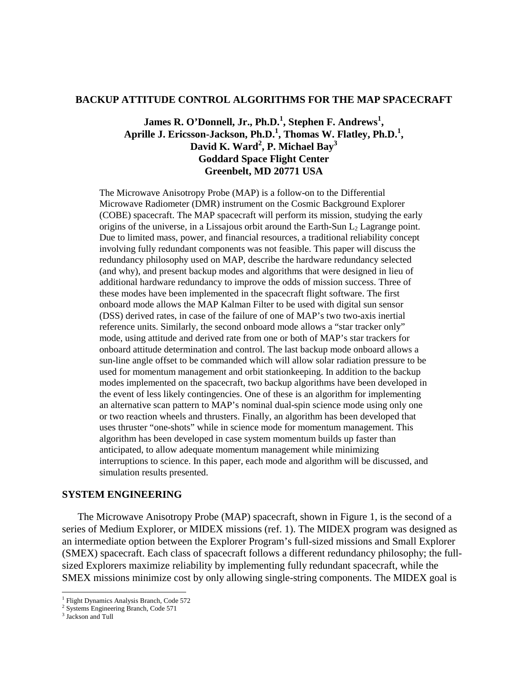### **BACKUP ATTITUDE CONTROL ALGORITHMS FOR THE MAP SPACECRAFT**

# <code>James R. O'Donnell, Jr., Ph.D.<sup>1</sup>, Stephen F. Andrews<sup>1</sup>,</code> **Aprille J. Ericsson-Jackson, Ph.D.1 , Thomas W. Flatley, Ph.D.<sup>1</sup> , David K. Ward<sup>2</sup> , P. Michael Bay3 Goddard Space Flight Center Greenbelt, MD 20771 USA**

The Microwave Anisotropy Probe (MAP) is a follow-on to the Differential Microwave Radiometer (DMR) instrument on the Cosmic Background Explorer (COBE) spacecraft. The MAP spacecraft will perform its mission, studying the early origins of the universe, in a Lissajous orbit around the Earth-Sun  $L<sub>2</sub>$  Lagrange point. Due to limited mass, power, and financial resources, a traditional reliability concept involving fully redundant components was not feasible. This paper will discuss the redundancy philosophy used on MAP, describe the hardware redundancy selected (and why), and present backup modes and algorithms that were designed in lieu of additional hardware redundancy to improve the odds of mission success. Three of these modes have been implemented in the spacecraft flight software. The first onboard mode allows the MAP Kalman Filter to be used with digital sun sensor (DSS) derived rates, in case of the failure of one of MAP's two two-axis inertial reference units. Similarly, the second onboard mode allows a "star tracker only" mode, using attitude and derived rate from one or both of MAP's star trackers for onboard attitude determination and control. The last backup mode onboard allows a sun-line angle offset to be commanded which will allow solar radiation pressure to be used for momentum management and orbit stationkeeping. In addition to the backup modes implemented on the spacecraft, two backup algorithms have been developed in the event of less likely contingencies. One of these is an algorithm for implementing an alternative scan pattern to MAP's nominal dual-spin science mode using only one or two reaction wheels and thrusters. Finally, an algorithm has been developed that uses thruster "one-shots" while in science mode for momentum management. This algorithm has been developed in case system momentum builds up faster than anticipated, to allow adequate momentum management while minimizing interruptions to science. In this paper, each mode and algorithm will be discussed, and simulation results presented.

### **SYSTEM ENGINEERING**

The Microwave Anisotropy Probe (MAP) spacecraft, shown in Figure 1, is the second of a series of Medium Explorer, or MIDEX missions (ref. 1). The MIDEX program was designed as an intermediate option between the Explorer Program's full-sized missions and Small Explorer (SMEX) spacecraft. Each class of spacecraft follows a different redundancy philosophy; the fullsized Explorers maximize reliability by implementing fully redundant spacecraft, while the SMEX missions minimize cost by only allowing single-string components. The MIDEX goal is

l

<sup>&</sup>lt;sup>1</sup> Flight Dynamics Analysis Branch, Code 572

<sup>&</sup>lt;sup>2</sup> Systems Engineering Branch, Code 571

<sup>&</sup>lt;sup>3</sup> Jackson and Tull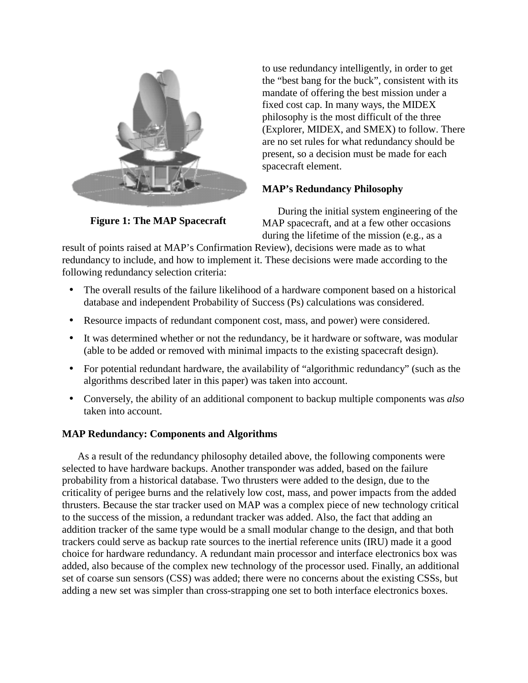

to use redundancy intelligently, in order to get the "best bang for the buck", consistent with its mandate of offering the best mission under a fixed cost cap. In many ways, the MIDEX philosophy is the most difficult of the three (Explorer, MIDEX, and SMEX) to follow. There are no set rules for what redundancy should be present, so a decision must be made for each spacecraft element.

# **MAP's Redundancy Philosophy**

**Figure 1: The MAP Spacecraft**

During the initial system engineering of the MAP spacecraft, and at a few other occasions during the lifetime of the mission (e.g., as a

result of points raised at MAP's Confirmation Review), decisions were made as to what redundancy to include, and how to implement it. These decisions were made according to the following redundancy selection criteria:

- The overall results of the failure likelihood of a hardware component based on a historical database and independent Probability of Success (Ps) calculations was considered.
- Resource impacts of redundant component cost, mass, and power) were considered.
- It was determined whether or not the redundancy, be it hardware or software, was modular (able to be added or removed with minimal impacts to the existing spacecraft design).
- For potential redundant hardware, the availability of "algorithmic redundancy" (such as the algorithms described later in this paper) was taken into account.
- Conversely, the ability of an additional component to backup multiple components was *also* taken into account.

# **MAP Redundancy: Components and Algorithms**

As a result of the redundancy philosophy detailed above, the following components were selected to have hardware backups. Another transponder was added, based on the failure probability from a historical database. Two thrusters were added to the design, due to the criticality of perigee burns and the relatively low cost, mass, and power impacts from the added thrusters. Because the star tracker used on MAP was a complex piece of new technology critical to the success of the mission, a redundant tracker was added. Also, the fact that adding an addition tracker of the same type would be a small modular change to the design, and that both trackers could serve as backup rate sources to the inertial reference units (IRU) made it a good choice for hardware redundancy. A redundant main processor and interface electronics box was added, also because of the complex new technology of the processor used. Finally, an additional set of coarse sun sensors (CSS) was added; there were no concerns about the existing CSSs, but adding a new set was simpler than cross-strapping one set to both interface electronics boxes.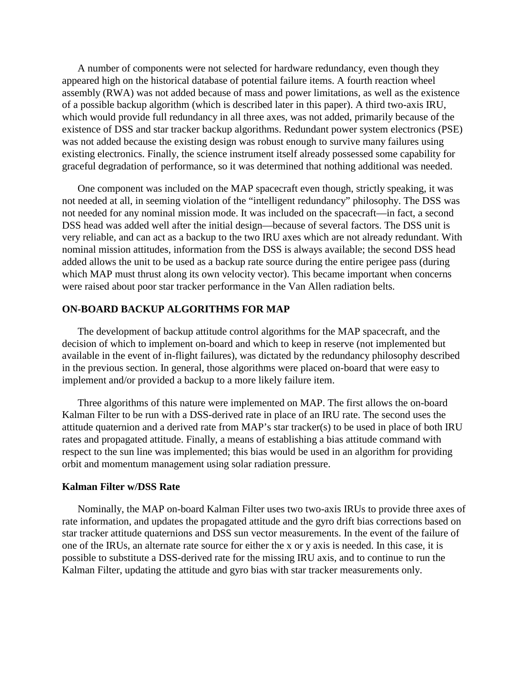A number of components were not selected for hardware redundancy, even though they appeared high on the historical database of potential failure items. A fourth reaction wheel assembly (RWA) was not added because of mass and power limitations, as well as the existence of a possible backup algorithm (which is described later in this paper). A third two-axis IRU, which would provide full redundancy in all three axes, was not added, primarily because of the existence of DSS and star tracker backup algorithms. Redundant power system electronics (PSE) was not added because the existing design was robust enough to survive many failures using existing electronics. Finally, the science instrument itself already possessed some capability for graceful degradation of performance, so it was determined that nothing additional was needed.

One component was included on the MAP spacecraft even though, strictly speaking, it was not needed at all, in seeming violation of the "intelligent redundancy" philosophy. The DSS was not needed for any nominal mission mode. It was included on the spacecraft—in fact, a second DSS head was added well after the initial design—because of several factors. The DSS unit is very reliable, and can act as a backup to the two IRU axes which are not already redundant. With nominal mission attitudes, information from the DSS is always available; the second DSS head added allows the unit to be used as a backup rate source during the entire perigee pass (during which MAP must thrust along its own velocity vector). This became important when concerns were raised about poor star tracker performance in the Van Allen radiation belts.

## **ON-BOARD BACKUP ALGORITHMS FOR MAP**

The development of backup attitude control algorithms for the MAP spacecraft, and the decision of which to implement on-board and which to keep in reserve (not implemented but available in the event of in-flight failures), was dictated by the redundancy philosophy described in the previous section. In general, those algorithms were placed on-board that were easy to implement and/or provided a backup to a more likely failure item.

Three algorithms of this nature were implemented on MAP. The first allows the on-board Kalman Filter to be run with a DSS-derived rate in place of an IRU rate. The second uses the attitude quaternion and a derived rate from MAP's star tracker(s) to be used in place of both IRU rates and propagated attitude. Finally, a means of establishing a bias attitude command with respect to the sun line was implemented; this bias would be used in an algorithm for providing orbit and momentum management using solar radiation pressure.

#### **Kalman Filter w/DSS Rate**

Nominally, the MAP on-board Kalman Filter uses two two-axis IRUs to provide three axes of rate information, and updates the propagated attitude and the gyro drift bias corrections based on star tracker attitude quaternions and DSS sun vector measurements. In the event of the failure of one of the IRUs, an alternate rate source for either the x or y axis is needed. In this case, it is possible to substitute a DSS-derived rate for the missing IRU axis, and to continue to run the Kalman Filter, updating the attitude and gyro bias with star tracker measurements only.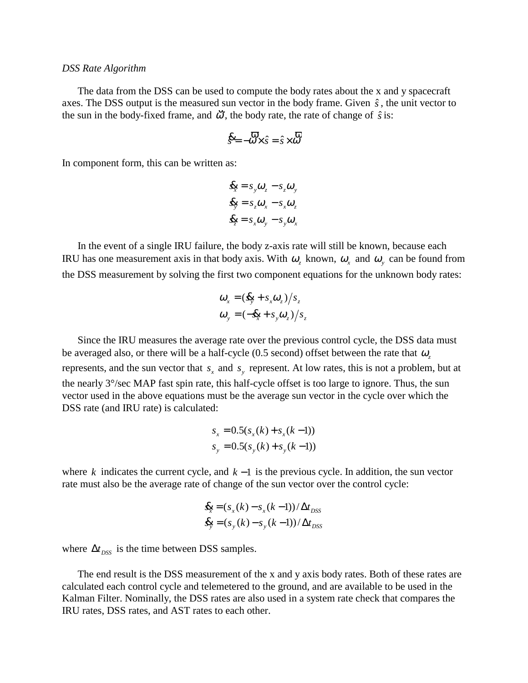#### *DSS Rate Algorithm*

The data from the DSS can be used to compute the body rates about the x and y spacecraft axes. The DSS output is the measured sun vector in the body frame. Given  $\hat{s}$ , the unit vector to the sun in the body-fixed frame, and  $\dddot{\omega}$ , the body rate, the rate of change of  $\hat{s}$  is:

$$
\mathbf{\hat{S}} = -\mathbf{\hat{\omega}} \times \hat{\mathbf{s}} = \hat{\mathbf{s}} \times \mathbf{\hat{\omega}} \quad \mathbf{\hat{\omega}}
$$

In component form, this can be written as:

$$
\mathbf{g}_x = s_y \mathbf{\omega}_z - s_z \mathbf{\omega}_y
$$
  

$$
\mathbf{g}_y = s_z \mathbf{\omega}_x - s_x \mathbf{\omega}_z
$$
  

$$
\mathbf{g}_z = s_x \mathbf{\omega}_y - s_y \mathbf{\omega}_x
$$

In the event of a single IRU failure, the body z-axis rate will still be known, because each IRU has one measurement axis in that body axis. With  $\omega_z$  known,  $\omega_x$  and  $\omega_y$  can be found from the DSS measurement by solving the first two component equations for the unknown body rates:

$$
\omega_x = (\mathbf{\&} + s_x \omega_z)/s_z
$$
  

$$
\omega_y = (-\mathbf{\&} + s_y \omega_z)/s_z
$$

Since the IRU measures the average rate over the previous control cycle, the DSS data must be averaged also, or there will be a half-cycle (0.5 second) offset between the rate that <sup>ω</sup>*<sup>z</sup>* represents, and the sun vector that  $s_x$  and  $s_y$  represent. At low rates, this is not a problem, but at the nearly 3°/sec MAP fast spin rate, this half-cycle offset is too large to ignore. Thus, the sun vector used in the above equations must be the average sun vector in the cycle over which the DSS rate (and IRU rate) is calculated:

$$
s_x = 0.5(s_x(k) + s_x(k-1))
$$
  

$$
s_y = 0.5(s_y(k) + s_y(k-1))
$$

where *k* indicates the current cycle, and *k* −1 is the previous cycle. In addition, the sun vector rate must also be the average rate of change of the sun vector over the control cycle:

$$
\mathbf{g}_{x} = (s_x(k) - s_x(k-1))/\Delta t_{DSS}
$$
  

$$
\mathbf{g}_{y} = (s_y(k) - s_y(k-1))/\Delta t_{DSS}
$$

where  $\Delta t_{DSS}$  is the time between DSS samples.

The end result is the DSS measurement of the x and y axis body rates. Both of these rates are calculated each control cycle and telemetered to the ground, and are available to be used in the Kalman Filter. Nominally, the DSS rates are also used in a system rate check that compares the IRU rates, DSS rates, and AST rates to each other.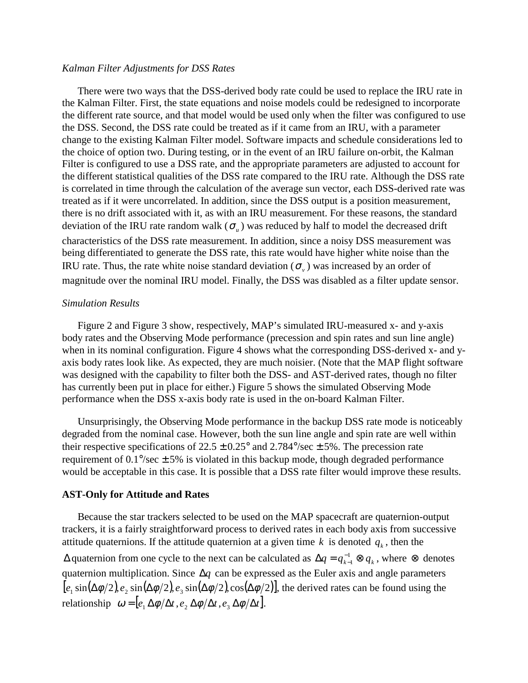#### *Kalman Filter Adjustments for DSS Rates*

There were two ways that the DSS-derived body rate could be used to replace the IRU rate in the Kalman Filter. First, the state equations and noise models could be redesigned to incorporate the different rate source, and that model would be used only when the filter was configured to use the DSS. Second, the DSS rate could be treated as if it came from an IRU, with a parameter change to the existing Kalman Filter model. Software impacts and schedule considerations led to the choice of option two. During testing, or in the event of an IRU failure on-orbit, the Kalman Filter is configured to use a DSS rate, and the appropriate parameters are adjusted to account for the different statistical qualities of the DSS rate compared to the IRU rate. Although the DSS rate is correlated in time through the calculation of the average sun vector, each DSS-derived rate was treated as if it were uncorrelated. In addition, since the DSS output is a position measurement, there is no drift associated with it, as with an IRU measurement. For these reasons, the standard deviation of the IRU rate random walk  $(\sigma_u)$  was reduced by half to model the decreased drift characteristics of the DSS rate measurement. In addition, since a noisy DSS measurement was being differentiated to generate the DSS rate, this rate would have higher white noise than the IRU rate. Thus, the rate white noise standard deviation  $(\sigma_{\nu})$  was increased by an order of magnitude over the nominal IRU model. Finally, the DSS was disabled as a filter update sensor.

## *Simulation Results*

Figure 2 and Figure 3 show, respectively, MAP's simulated IRU-measured x- and y-axis body rates and the Observing Mode performance (precession and spin rates and sun line angle) when in its nominal configuration. Figure 4 shows what the corresponding DSS-derived x- and yaxis body rates look like. As expected, they are much noisier. (Note that the MAP flight software was designed with the capability to filter both the DSS- and AST-derived rates, though no filter has currently been put in place for either.) Figure 5 shows the simulated Observing Mode performance when the DSS x-axis body rate is used in the on-board Kalman Filter.

Unsurprisingly, the Observing Mode performance in the backup DSS rate mode is noticeably degraded from the nominal case. However, both the sun line angle and spin rate are well within their respective specifications of  $22.5 \pm 0.25^{\circ}$  and  $2.784^{\circ}/\text{sec} \pm 5\%$ . The precession rate requirement of  $0.1\degree$ /sec  $\pm$  5% is violated in this backup mode, though degraded performance would be acceptable in this case. It is possible that a DSS rate filter would improve these results.

### **AST-Only for Attitude and Rates**

Because the star trackers selected to be used on the MAP spacecraft are quaternion-output trackers, it is a fairly straightforward process to derived rates in each body axis from successive attitude quaternions. If the attitude quaternion at a given time  $k$  is denoted  $q_k$ , then the  $\Delta$  quaternion from one cycle to the next can be calculated as  $\Delta q = q_{k-1}^{-1} \otimes q_k$  $q_{k}^{1} \otimes q_{k}$ , where  $\otimes$  denotes quaternion multiplication. Since ∆*q* can be expressed as the Euler axis and angle parameters  $[e_1 \sin(\Delta\phi/2), e_2 \sin(\Delta\phi/2), e_3 \sin(\Delta\phi/2), \cos(\Delta\phi/2)]$ , the derived rates can be found using the relationship  $\omega = [e_1 \Delta \phi / \Delta t, e_2 \Delta \phi / \Delta t, e_3 \Delta \phi / \Delta t].$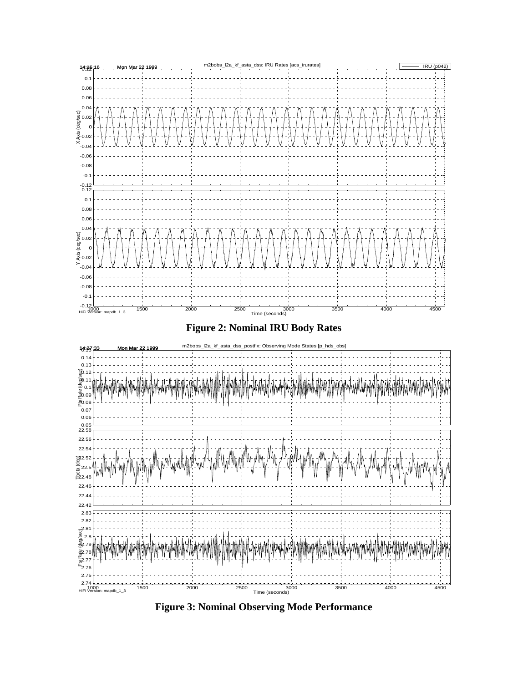

**Figure 3: Nominal Observing Mode Performance**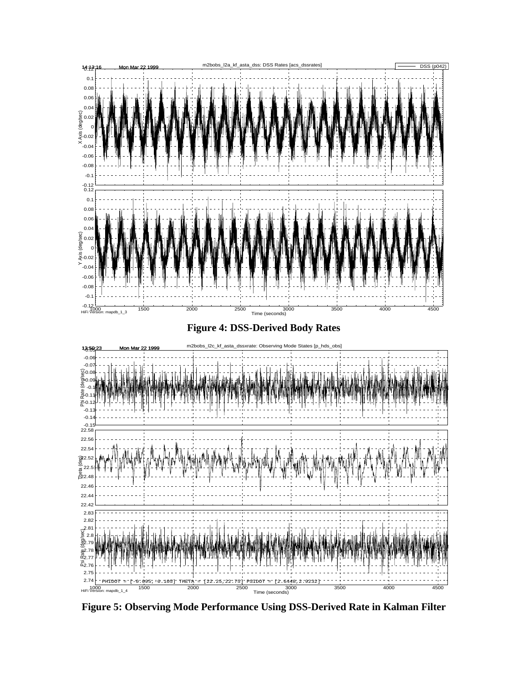

**Figure 5: Observing Mode Performance Using DSS-Derived Rate in Kalman Filter**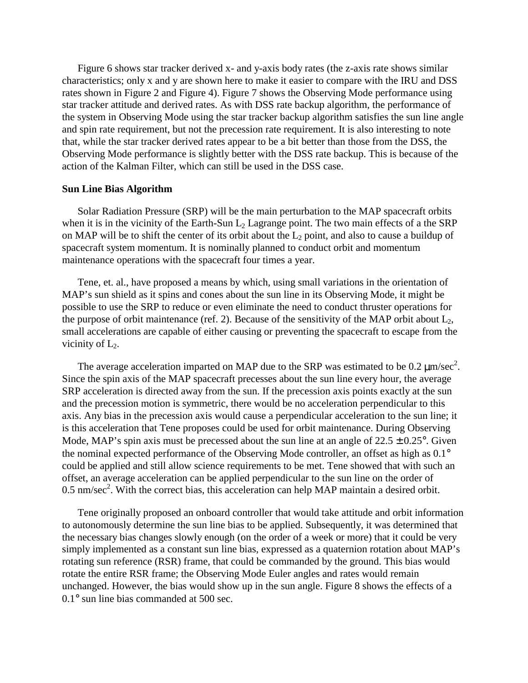Figure 6 shows star tracker derived x- and y-axis body rates (the z-axis rate shows similar characteristics; only x and y are shown here to make it easier to compare with the IRU and DSS rates shown in Figure 2 and Figure 4). Figure 7 shows the Observing Mode performance using star tracker attitude and derived rates. As with DSS rate backup algorithm, the performance of the system in Observing Mode using the star tracker backup algorithm satisfies the sun line angle and spin rate requirement, but not the precession rate requirement. It is also interesting to note that, while the star tracker derived rates appear to be a bit better than those from the DSS, the Observing Mode performance is slightly better with the DSS rate backup. This is because of the action of the Kalman Filter, which can still be used in the DSS case.

#### **Sun Line Bias Algorithm**

Solar Radiation Pressure (SRP) will be the main perturbation to the MAP spacecraft orbits when it is in the vicinity of the Earth-Sun  $L_2$  Lagrange point. The two main effects of a the SRP on MAP will be to shift the center of its orbit about the  $L_2$  point, and also to cause a buildup of spacecraft system momentum. It is nominally planned to conduct orbit and momentum maintenance operations with the spacecraft four times a year.

Tene, et. al., have proposed a means by which, using small variations in the orientation of MAP's sun shield as it spins and cones about the sun line in its Observing Mode, it might be possible to use the SRP to reduce or even eliminate the need to conduct thruster operations for the purpose of orbit maintenance (ref. 2). Because of the sensitivity of the MAP orbit about  $L_2$ , small accelerations are capable of either causing or preventing the spacecraft to escape from the vicinity of  $L_2$ .

The average acceleration imparted on MAP due to the SRP was estimated to be 0.2  $\mu$ m/sec<sup>2</sup>. Since the spin axis of the MAP spacecraft precesses about the sun line every hour, the average SRP acceleration is directed away from the sun. If the precession axis points exactly at the sun and the precession motion is symmetric, there would be no acceleration perpendicular to this axis. Any bias in the precession axis would cause a perpendicular acceleration to the sun line; it is this acceleration that Tene proposes could be used for orbit maintenance. During Observing Mode, MAP's spin axis must be precessed about the sun line at an angle of  $22.5 \pm 0.25^{\circ}$ . Given the nominal expected performance of the Observing Mode controller, an offset as high as 0.1° could be applied and still allow science requirements to be met. Tene showed that with such an offset, an average acceleration can be applied perpendicular to the sun line on the order of  $0.5 \text{ nm/sec}^2$ . With the correct bias, this acceleration can help MAP maintain a desired orbit.

Tene originally proposed an onboard controller that would take attitude and orbit information to autonomously determine the sun line bias to be applied. Subsequently, it was determined that the necessary bias changes slowly enough (on the order of a week or more) that it could be very simply implemented as a constant sun line bias, expressed as a quaternion rotation about MAP's rotating sun reference (RSR) frame, that could be commanded by the ground. This bias would rotate the entire RSR frame; the Observing Mode Euler angles and rates would remain unchanged. However, the bias would show up in the sun angle. Figure 8 shows the effects of a 0.1° sun line bias commanded at 500 sec.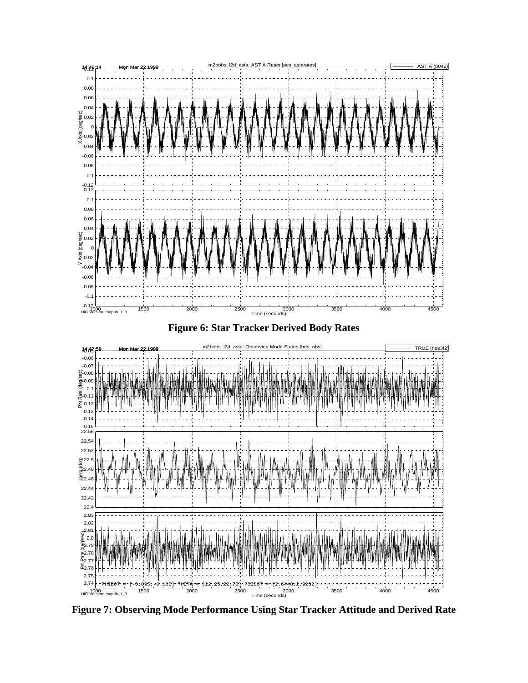

**Figure 7: Observing Mode Performance Using Star Tracker Attitude and Derived Rate**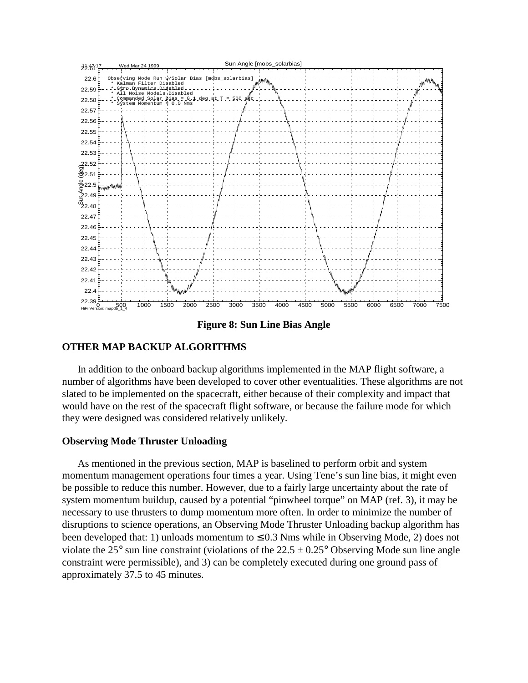

**Figure 8: Sun Line Bias Angle**

# **OTHER MAP BACKUP ALGORITHMS**

In addition to the onboard backup algorithms implemented in the MAP flight software, a number of algorithms have been developed to cover other eventualities. These algorithms are not slated to be implemented on the spacecraft, either because of their complexity and impact that would have on the rest of the spacecraft flight software, or because the failure mode for which they were designed was considered relatively unlikely.

## **Observing Mode Thruster Unloading**

As mentioned in the previous section, MAP is baselined to perform orbit and system momentum management operations four times a year. Using Tene's sun line bias, it might even be possible to reduce this number. However, due to a fairly large uncertainty about the rate of system momentum buildup, caused by a potential "pinwheel torque" on MAP (ref. 3), it may be necessary to use thrusters to dump momentum more often. In order to minimize the number of disruptions to science operations, an Observing Mode Thruster Unloading backup algorithm has been developed that: 1) unloads momentum to  $\leq 0.3$  Nms while in Observing Mode, 2) does not violate the 25° sun line constraint (violations of the  $22.5 \pm 0.25$ ° Observing Mode sun line angle constraint were permissible), and 3) can be completely executed during one ground pass of approximately 37.5 to 45 minutes.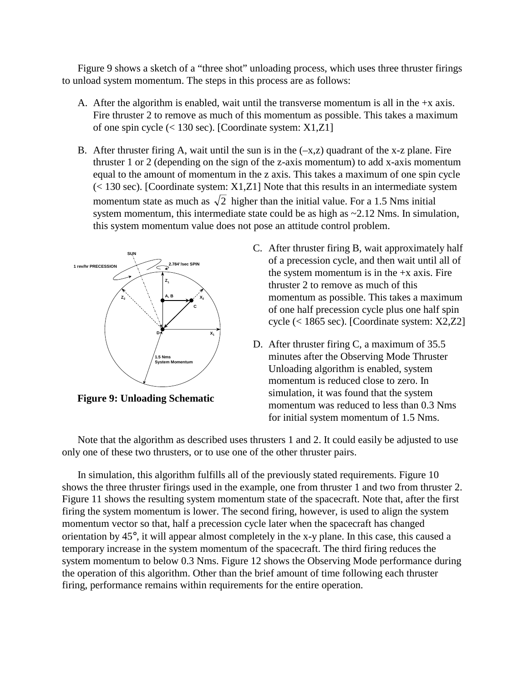Figure 9 shows a sketch of a "three shot" unloading process, which uses three thruster firings to unload system momentum. The steps in this process are as follows:

- A. After the algorithm is enabled, wait until the transverse momentum is all in the  $+x$  axis. Fire thruster 2 to remove as much of this momentum as possible. This takes a maximum of one spin cycle (< 130 sec). [Coordinate system: X1,Z1]
- B. After thruster firing A, wait until the sun is in the  $(-x, z)$  quadrant of the x-z plane. Fire thruster 1 or 2 (depending on the sign of the z-axis momentum) to add x-axis momentum equal to the amount of momentum in the z axis. This takes a maximum of one spin cycle  $(< 130$  sec). [Coordinate system: X1,Z1] Note that this results in an intermediate system momentum state as much as  $\sqrt{2}$  higher than the initial value. For a 1.5 Nms initial system momentum, this intermediate state could be as high as  $\sim$  2.12 Nms. In simulation, this system momentum value does not pose an attitude control problem.



**Figure 9: Unloading Schematic**

- C. After thruster firing B, wait approximately half of a precession cycle, and then wait until all of the system momentum is in the  $+x$  axis. Fire thruster 2 to remove as much of this momentum as possible. This takes a maximum of one half precession cycle plus one half spin cycle (< 1865 sec). [Coordinate system: X2,Z2]
- D. After thruster firing C, a maximum of 35.5 minutes after the Observing Mode Thruster Unloading algorithm is enabled, system momentum is reduced close to zero. In simulation, it was found that the system momentum was reduced to less than 0.3 Nms for initial system momentum of 1.5 Nms.

Note that the algorithm as described uses thrusters 1 and 2. It could easily be adjusted to use only one of these two thrusters, or to use one of the other thruster pairs.

In simulation, this algorithm fulfills all of the previously stated requirements. Figure 10 shows the three thruster firings used in the example, one from thruster 1 and two from thruster 2. Figure 11 shows the resulting system momentum state of the spacecraft. Note that, after the first firing the system momentum is lower. The second firing, however, is used to align the system momentum vector so that, half a precession cycle later when the spacecraft has changed orientation by 45°, it will appear almost completely in the x-y plane. In this case, this caused a temporary increase in the system momentum of the spacecraft. The third firing reduces the system momentum to below 0.3 Nms. Figure 12 shows the Observing Mode performance during the operation of this algorithm. Other than the brief amount of time following each thruster firing, performance remains within requirements for the entire operation.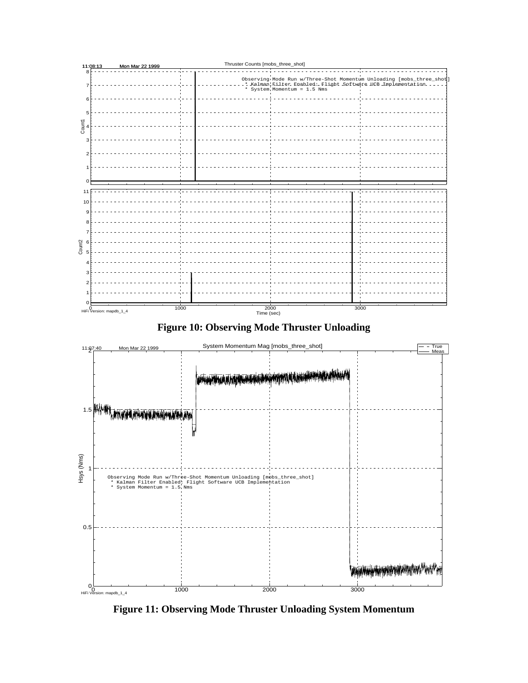

**Figure 11: Observing Mode Thruster Unloading System Momentum**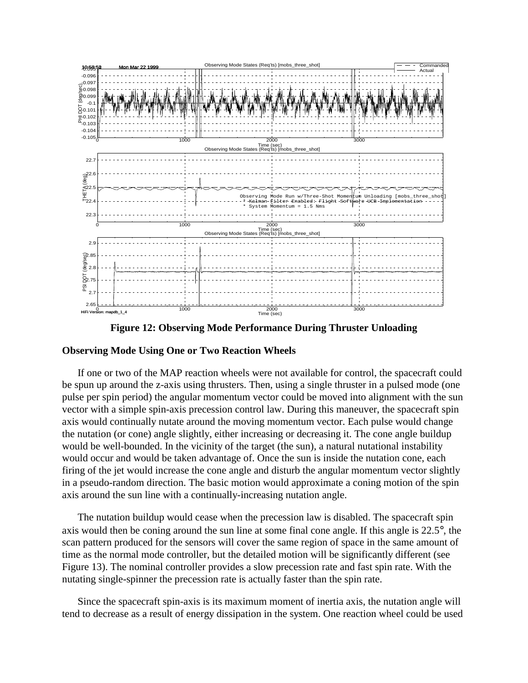

**Figure 12: Observing Mode Performance During Thruster Unloading**

### **Observing Mode Using One or Two Reaction Wheels**

If one or two of the MAP reaction wheels were not available for control, the spacecraft could be spun up around the z-axis using thrusters. Then, using a single thruster in a pulsed mode (one pulse per spin period) the angular momentum vector could be moved into alignment with the sun vector with a simple spin-axis precession control law. During this maneuver, the spacecraft spin axis would continually nutate around the moving momentum vector. Each pulse would change the nutation (or cone) angle slightly, either increasing or decreasing it. The cone angle buildup would be well-bounded. In the vicinity of the target (the sun), a natural nutational instability would occur and would be taken advantage of. Once the sun is inside the nutation cone, each firing of the jet would increase the cone angle and disturb the angular momentum vector slightly in a pseudo-random direction. The basic motion would approximate a coning motion of the spin axis around the sun line with a continually-increasing nutation angle.

The nutation buildup would cease when the precession law is disabled. The spacecraft spin axis would then be coning around the sun line at some final cone angle. If this angle is 22.5°, the scan pattern produced for the sensors will cover the same region of space in the same amount of time as the normal mode controller, but the detailed motion will be significantly different (see Figure 13). The nominal controller provides a slow precession rate and fast spin rate. With the nutating single-spinner the precession rate is actually faster than the spin rate.

Since the spacecraft spin-axis is its maximum moment of inertia axis, the nutation angle will tend to decrease as a result of energy dissipation in the system. One reaction wheel could be used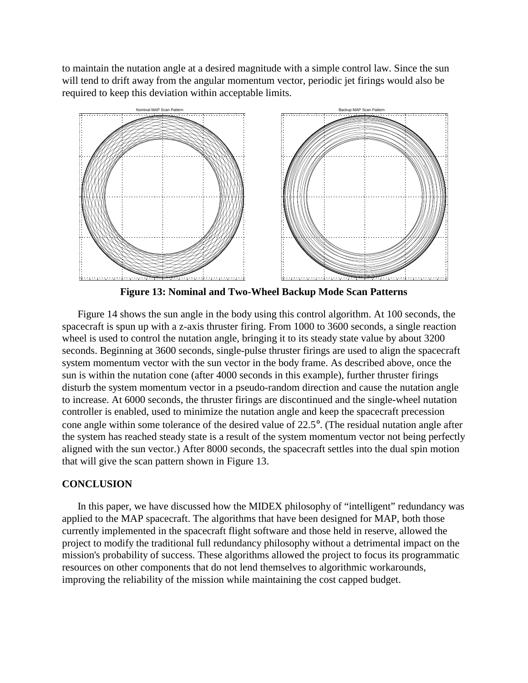to maintain the nutation angle at a desired magnitude with a simple control law. Since the sun will tend to drift away from the angular momentum vector, periodic jet firings would also be required to keep this deviation within acceptable limits.



**Figure 13: Nominal and Two-Wheel Backup Mode Scan Patterns**

Figure 14 shows the sun angle in the body using this control algorithm. At 100 seconds, the spacecraft is spun up with a z-axis thruster firing. From 1000 to 3600 seconds, a single reaction wheel is used to control the nutation angle, bringing it to its steady state value by about 3200 seconds. Beginning at 3600 seconds, single-pulse thruster firings are used to align the spacecraft system momentum vector with the sun vector in the body frame. As described above, once the sun is within the nutation cone (after 4000 seconds in this example), further thruster firings disturb the system momentum vector in a pseudo-random direction and cause the nutation angle to increase. At 6000 seconds, the thruster firings are discontinued and the single-wheel nutation controller is enabled, used to minimize the nutation angle and keep the spacecraft precession cone angle within some tolerance of the desired value of 22.5°. (The residual nutation angle after the system has reached steady state is a result of the system momentum vector not being perfectly aligned with the sun vector.) After 8000 seconds, the spacecraft settles into the dual spin motion that will give the scan pattern shown in Figure 13.

## **CONCLUSION**

In this paper, we have discussed how the MIDEX philosophy of "intelligent" redundancy was applied to the MAP spacecraft. The algorithms that have been designed for MAP, both those currently implemented in the spacecraft flight software and those held in reserve, allowed the project to modify the traditional full redundancy philosophy without a detrimental impact on the mission's probability of success. These algorithms allowed the project to focus its programmatic resources on other components that do not lend themselves to algorithmic workarounds, improving the reliability of the mission while maintaining the cost capped budget.